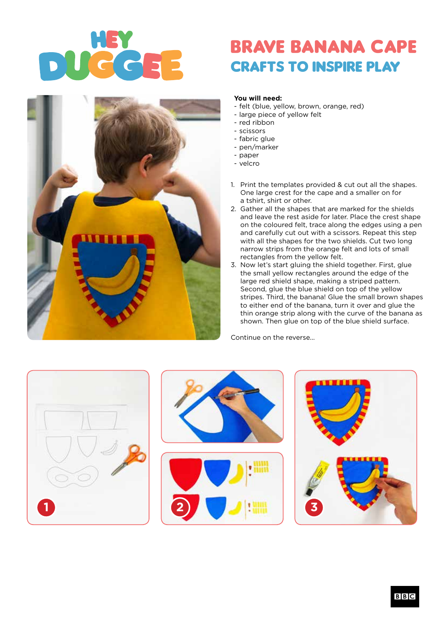## BRAVE BANANA CAPE crafts to inspire play



## **You will need:**

- felt (blue, yellow, brown, orange, red)
- large piece of yellow felt
- red ribbon
- scissors
- fabric glue
- pen/marker
- paper
- velcro
- 1. Print the templates provided & cut out all the shapes. One large crest for the cape and a smaller on for a tshirt, shirt or other.
- 2. Gather all the shapes that are marked for the shields and leave the rest aside for later. Place the crest shape on the coloured felt, trace along the edges using a pen and carefully cut out with a scissors. Repeat this step with all the shapes for the two shields. Cut two long narrow strips from the orange felt and lots of small rectangles from the yellow felt.
- 3. Now let's start gluing the shield together. First, glue the small yellow rectangles around the edge of the large red shield shape, making a striped pattern. Second, glue the blue shield on top of the yellow stripes. Third, the banana! Glue the small brown shapes to either end of the banana, turn it over and glue the thin orange strip along with the curve of the banana as shown. Then glue on top of the blue shield surface.

Continue on the reverse...

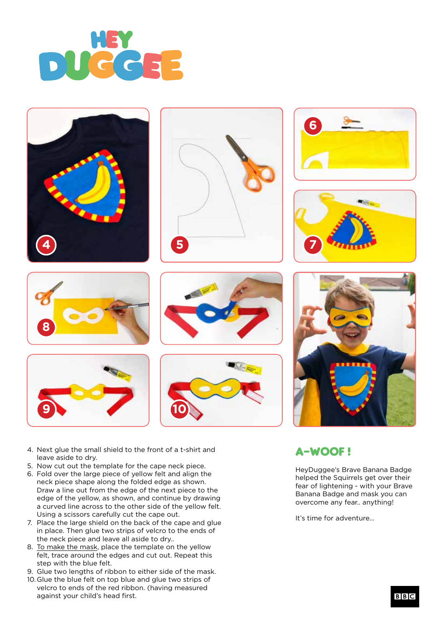



















- 5. Now cut out the template for the cape neck piece.
- 6. Fold over the large piece of yellow felt and align the neck piece shape along the folded edge as shown. Draw a line out from the edge of the next piece to the edge of the yellow, as shown, and continue by drawing a curved line across to the other side of the yellow felt. Using a scissors carefully cut the cape out.
- 7. Place the large shield on the back of the cape and glue in place. Then glue two strips of velcro to the ends of the neck piece and leave all aside to dry..
- 8. To make the mask, place the template on the yellow felt, trace around the edges and cut out. Repeat this step with the blue felt.
- 9. Glue two lengths of ribbon to either side of the mask.
- 10. Glue the blue felt on top blue and glue two strips of velcro to ends of the red ribbon. (having measured against your child's head first.



## A-WOOF !

HeyDuggee's Brave Banana Badge helped the Squirrels get over their fear of lightening - with your Brave Banana Badge and mask you can overcome any fear.. anything!

It's time for adventure...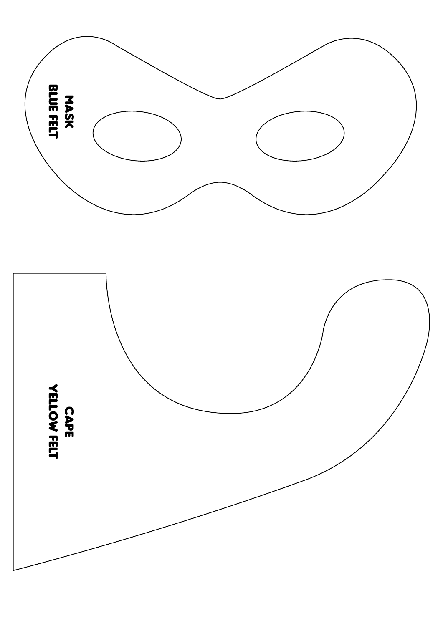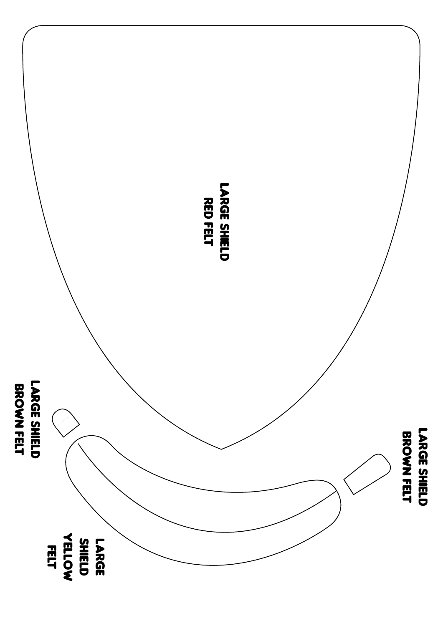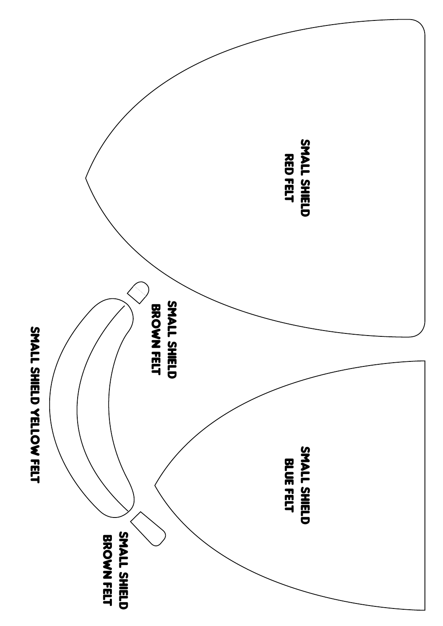